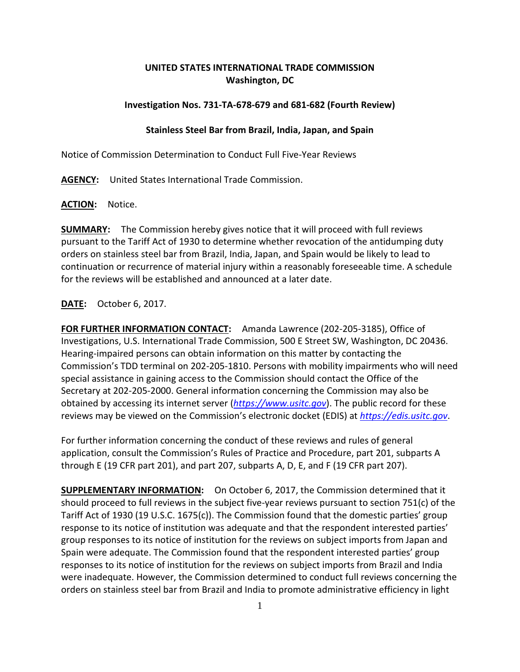## **UNITED STATES INTERNATIONAL TRADE COMMISSION Washington, DC**

## **Investigation Nos. 731-TA-678-679 and 681-682 (Fourth Review)**

## **Stainless Steel Bar from Brazil, India, Japan, and Spain**

Notice of Commission Determination to Conduct Full Five-Year Reviews

**AGENCY:** United States International Trade Commission.

**ACTION:** Notice.

**SUMMARY:** The Commission hereby gives notice that it will proceed with full reviews pursuant to the Tariff Act of 1930 to determine whether revocation of the antidumping duty orders on stainless steel bar from Brazil, India, Japan, and Spain would be likely to lead to continuation or recurrence of material injury within a reasonably foreseeable time. A schedule for the reviews will be established and announced at a later date.

## **DATE:** October 6, 2017.

**FOR FURTHER INFORMATION CONTACT:** Amanda Lawrence (202-205-3185), Office of Investigations, U.S. International Trade Commission, 500 E Street SW, Washington, DC 20436. Hearing-impaired persons can obtain information on this matter by contacting the Commission's TDD terminal on 202-205-1810. Persons with mobility impairments who will need special assistance in gaining access to the Commission should contact the Office of the Secretary at 202-205-2000. General information concerning the Commission may also be obtained by accessing its internet server (*[https://www.usitc.gov](https://www.usitc.gov/)*). The public record for these reviews may be viewed on the Commission's electronic docket (EDIS) at *[https://edis.usitc.gov](https://edis.usitc.gov/)*.

For further information concerning the conduct of these reviews and rules of general application, consult the Commission's Rules of Practice and Procedure, part 201, subparts A through E (19 CFR part 201), and part 207, subparts A, D, E, and F (19 CFR part 207).

**SUPPLEMENTARY INFORMATION:** On October 6, 2017, the Commission determined that it should proceed to full reviews in the subject five-year reviews pursuant to section 751(c) of the Tariff Act of 1930 (19 U.S.C. 1675(c)). The Commission found that the domestic parties' group response to its notice of institution was adequate and that the respondent interested parties' group responses to its notice of institution for the reviews on subject imports from Japan and Spain were adequate. The Commission found that the respondent interested parties' group responses to its notice of institution for the reviews on subject imports from Brazil and India were inadequate. However, the Commission determined to conduct full reviews concerning the orders on stainless steel bar from Brazil and India to promote administrative efficiency in light